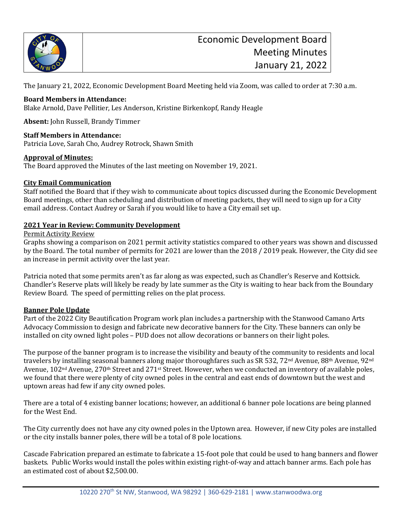

The January 21, 2022, Economic Development Board Meeting held via Zoom, was called to order at 7:30 a.m.

# **Board Members in Attendance:**

Blake Arnold, Dave Pellitier, Les Anderson, Kristine Birkenkopf, Randy Heagle

**Absent:** John Russell, Brandy Timmer

### **Staff Members in Attendance:**

Patricia Love, Sarah Cho, Audrey Rotrock, Shawn Smith

### **Approval of Minutes:**

The Board approved the Minutes of the last meeting on November 19, 2021.

# **City Email Communication**

Staff notified the Board that if they wish to communicate about topics discussed during the Economic Development Board meetings, other than scheduling and distribution of meeting packets, they will need to sign up for a City email address. Contact Audrey or Sarah if you would like to have a City email set up.

### **2021 Year in Review: Community Development**

Permit Activity Review

Graphs showing a comparison on 2021 permit activity statistics compared to other years was shown and discussed by the Board. The total number of permits for 2021 are lower than the 2018 / 2019 peak. However, the City did see an increase in permit activity over the last year.

Patricia noted that some permits aren't as far along as was expected, such as Chandler's Reserve and Kottsick. Chandler's Reserve plats will likely be ready by late summer as the City is waiting to hear back from the Boundary Review Board. The speed of permitting relies on the plat process.

#### **Banner Pole Update**

Part of the 2022 City Beautification Program work plan includes a partnership with the Stanwood Camano Arts Advocacy Commission to design and fabricate new decorative banners for the City. These banners can only be installed on city owned light poles – PUD does not allow decorations or banners on their light poles.

The purpose of the banner program is to increase the visibility and beauty of the community to residents and local travelers by installing seasonal banners along major thoroughfares such as SR 532, 72<sup>nd</sup> Avenue, 88<sup>th</sup> Avenue, 92<sup>nd</sup> Avenue, 102nd Avenue, 270th Street and 271st Street. However, when we conducted an inventory of available poles, we found that there were plenty of city owned poles in the central and east ends of downtown but the west and uptown areas had few if any city owned poles.

There are a total of 4 existing banner locations; however, an additional 6 banner pole locations are being planned for the West End.

The City currently does not have any city owned poles in the Uptown area. However, if new City poles are installed or the city installs banner poles, there will be a total of 8 pole locations.

Cascade Fabrication prepared an estimate to fabricate a 15-foot pole that could be used to hang banners and flower baskets. Public Works would install the poles within existing right-of-way and attach banner arms. Each pole has an estimated cost of about \$2,500.00.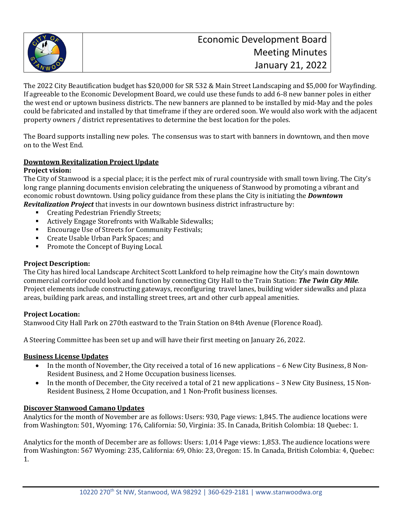

The 2022 City Beautification budget has \$20,000 for SR 532 & Main Street Landscaping and \$5,000 for Wayfinding. If agreeable to the Economic Development Board, we could use these funds to add 6-8 new banner poles in either the west end or uptown business districts. The new banners are planned to be installed by mid-May and the poles could be fabricated and installed by that timeframe if they are ordered soon. We would also work with the adjacent property owners / district representatives to determine the best location for the poles.

The Board supports installing new poles. The consensus was to start with banners in downtown, and then move on to the West End.

# **Downtown Revitalization Project Update**

### **Project vision:**

The City of Stanwood is a special place; it is the perfect mix of rural countryside with small town living. The City's long range planning documents envision celebrating the uniqueness of Stanwood by promoting a vibrant and economic robust downtown. Using policy guidance from these plans the City is initiating the *Downtown Revitalization Project* that invests in our downtown business district infrastructure by:

- **Creating Pedestrian Friendly Streets;**<br>Actively Engage Storefronts with Wal
- Actively Engage Storefronts with Walkable Sidewalks;<br>• Fucourage Use of Streets for Community Festivals:
- Encourage Use of Streets for Community Festivals;
- **Create Usable Urban Park Spaces; and**<br>**Promote the Concept of Buving Local**
- Promote the Concept of Buying Local.

#### **Project Description:**

The City has hired local Landscape Architect Scott Lankford to help reimagine how the City's main downtown commercial corridor could look and function by connecting City Hall to the Train Station: *The Twin City Mile*. Project elements include constructing gateways, reconfiguring travel lanes, building wider sidewalks and plaza areas, building park areas, and installing street trees, art and other curb appeal amenities.

#### **Project Location:**

Stanwood City Hall Park on 270th eastward to the Train Station on 84th Avenue (Florence Road).

A Steering Committee has been set up and will have their first meeting on January 26, 2022.

#### **Business License Updates**

- In the month of November, the City received a total of 16 new applications 6 New City Business, 8 Non-Resident Business, and 2 Home Occupation business licenses.
- In the month of December, the City received a total of 21 new applications 3 New City Business, 15 Non-Resident Business, 2 Home Occupation, and 1 Non-Profit business licenses.

#### **Discover Stanwood Camano Updates**

Analytics for the month of November are as follows: Users: 930, Page views: 1,845. The audience locations were from Washington: 501, Wyoming: 176, California: 50, Virginia: 35. In Canada, British Colombia: 18 Quebec: 1.

Analytics for the month of December are as follows: Users: 1,014 Page views: 1,853. The audience locations were from Washington: 567 Wyoming: 235, California: 69, Ohio: 23, Oregon: 15. In Canada, British Colombia: 4, Quebec: 1.